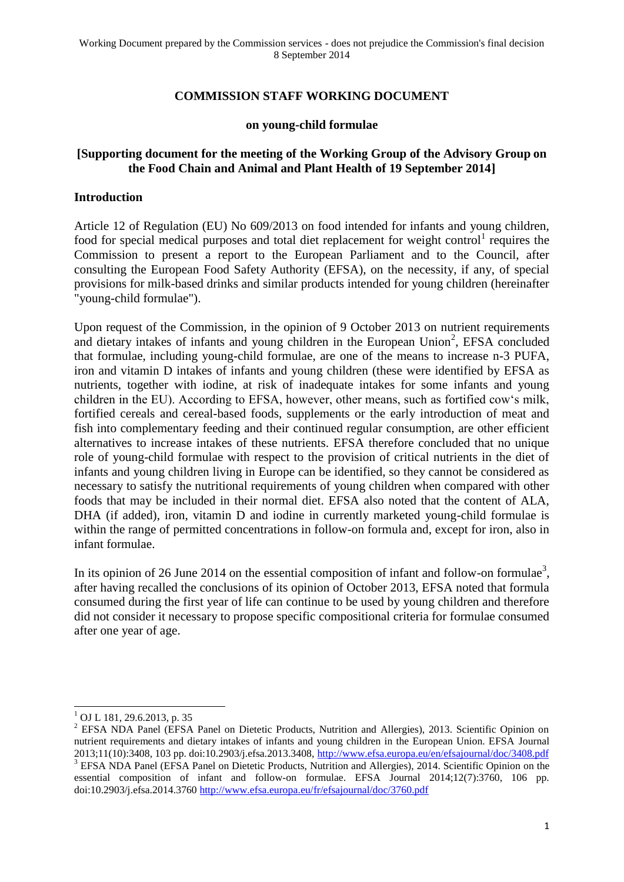## **COMMISSION STAFF WORKING DOCUMENT**

#### **on young-child formulae**

## **[Supporting document for the meeting of the Working Group of the Advisory Group on the Food Chain and Animal and Plant Health of 19 September 2014]**

#### **Introduction**

Article 12 of Regulation (EU) No 609/2013 on food intended for infants and young children, food for special medical purposes and total diet replacement for weight control<sup>1</sup> requires the Commission to present a report to the European Parliament and to the Council, after consulting the European Food Safety Authority (EFSA), on the necessity, if any, of special provisions for milk-based drinks and similar products intended for young children (hereinafter "young-child formulae").

Upon request of the Commission, in the opinion of 9 October 2013 on nutrient requirements and dietary intakes of infants and young children in the European Union<sup>2</sup>, EFSA concluded that formulae, including young-child formulae, are one of the means to increase n-3 PUFA, iron and vitamin D intakes of infants and young children (these were identified by EFSA as nutrients, together with iodine, at risk of inadequate intakes for some infants and young children in the EU). According to EFSA, however, other means, such as fortified cow's milk, fortified cereals and cereal-based foods, supplements or the early introduction of meat and fish into complementary feeding and their continued regular consumption, are other efficient alternatives to increase intakes of these nutrients. EFSA therefore concluded that no unique role of young-child formulae with respect to the provision of critical nutrients in the diet of infants and young children living in Europe can be identified, so they cannot be considered as necessary to satisfy the nutritional requirements of young children when compared with other foods that may be included in their normal diet. EFSA also noted that the content of ALA, DHA (if added), iron, vitamin D and iodine in currently marketed young-child formulae is within the range of permitted concentrations in follow-on formula and, except for iron, also in infant formulae.

In its opinion of 26 June 2014 on the essential composition of infant and follow-on formulae<sup>3</sup>, after having recalled the conclusions of its opinion of October 2013, EFSA noted that formula consumed during the first year of life can continue to be used by young children and therefore did not consider it necessary to propose specific compositional criteria for formulae consumed after one year of age.

**.** 

 $1$  OJ L 181, 29.6.2013, p. 35

<sup>&</sup>lt;sup>2</sup> EFSA NDA Panel (EFSA Panel on Dietetic Products, Nutrition and Allergies), 2013. Scientific Opinion on nutrient requirements and dietary intakes of infants and young children in the European Union. EFSA Journal 2013;11(10):3408, 103 pp. doi:10.2903/j.efsa.2013.3408,<http://www.efsa.europa.eu/en/efsajournal/doc/3408.pdf> <sup>3</sup> EFSA NDA Panel (EFSA Panel on Dietetic Products, Nutrition and Allergies), 2014. Scientific Opinion on the essential composition of infant and follow-on formulae. EFSA Journal 2014;12(7):3760, 106 pp. doi:10.2903/j.efsa.2014.3760<http://www.efsa.europa.eu/fr/efsajournal/doc/3760.pdf>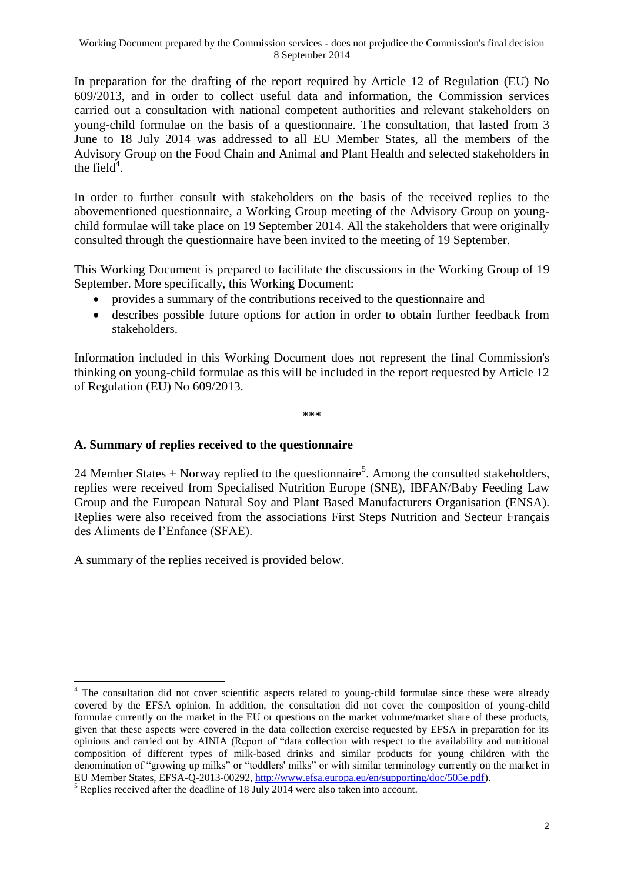In preparation for the drafting of the report required by Article 12 of Regulation (EU) No 609/2013, and in order to collect useful data and information, the Commission services carried out a consultation with national competent authorities and relevant stakeholders on young-child formulae on the basis of a questionnaire. The consultation, that lasted from 3 June to 18 July 2014 was addressed to all EU Member States, all the members of the Advisory Group on the Food Chain and Animal and Plant Health and selected stakeholders in the field $4$ .

In order to further consult with stakeholders on the basis of the received replies to the abovementioned questionnaire, a Working Group meeting of the Advisory Group on youngchild formulae will take place on 19 September 2014. All the stakeholders that were originally consulted through the questionnaire have been invited to the meeting of 19 September.

This Working Document is prepared to facilitate the discussions in the Working Group of 19 September. More specifically, this Working Document:

- provides a summary of the contributions received to the questionnaire and
- describes possible future options for action in order to obtain further feedback from stakeholders.

Information included in this Working Document does not represent the final Commission's thinking on young-child formulae as this will be included in the report requested by Article 12 of Regulation (EU) No 609/2013.

**\*\*\***

## **A. Summary of replies received to the questionnaire**

24 Member States + Norway replied to the questionnaire<sup>5</sup>. Among the consulted stakeholders, replies were received from Specialised Nutrition Europe (SNE), IBFAN/Baby Feeding Law Group and the European Natural Soy and Plant Based Manufacturers Organisation (ENSA). Replies were also received from the associations First Steps Nutrition and Secteur Français des Aliments de l'Enfance (SFAE).

A summary of the replies received is provided below.

**.** 

<sup>&</sup>lt;sup>4</sup> The consultation did not cover scientific aspects related to young-child formulae since these were already covered by the EFSA opinion. In addition, the consultation did not cover the composition of young-child formulae currently on the market in the EU or questions on the market volume/market share of these products, given that these aspects were covered in the data collection exercise requested by EFSA in preparation for its opinions and carried out by AINIA (Report of "data collection with respect to the availability and nutritional composition of different types of milk-based drinks and similar products for young children with the denomination of "growing up milks" or "toddlers' milks" or with similar terminology currently on the market in EU Member States, EFSA-Q-2013-00292[, http://www.efsa.europa.eu/en/supporting/doc/505e.pdf\)](http://www.efsa.europa.eu/en/supporting/doc/505e.pdf).

<sup>&</sup>lt;sup>5</sup> Replies received after the deadline of 18 July 2014 were also taken into account.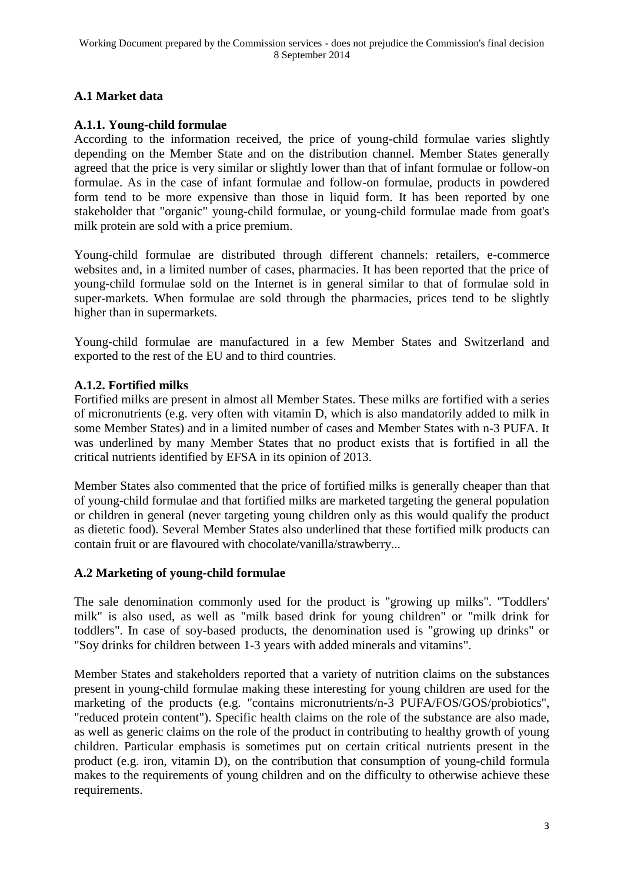# **A.1 Market data**

## **A.1.1. Young-child formulae**

According to the information received, the price of young-child formulae varies slightly depending on the Member State and on the distribution channel. Member States generally agreed that the price is very similar or slightly lower than that of infant formulae or follow-on formulae. As in the case of infant formulae and follow-on formulae, products in powdered form tend to be more expensive than those in liquid form. It has been reported by one stakeholder that "organic" young-child formulae, or young-child formulae made from goat's milk protein are sold with a price premium.

Young-child formulae are distributed through different channels: retailers, e-commerce websites and, in a limited number of cases, pharmacies. It has been reported that the price of young-child formulae sold on the Internet is in general similar to that of formulae sold in super-markets. When formulae are sold through the pharmacies, prices tend to be slightly higher than in supermarkets.

Young-child formulae are manufactured in a few Member States and Switzerland and exported to the rest of the EU and to third countries.

## **A.1.2. Fortified milks**

Fortified milks are present in almost all Member States. These milks are fortified with a series of micronutrients (e.g. very often with vitamin D, which is also mandatorily added to milk in some Member States) and in a limited number of cases and Member States with n-3 PUFA. It was underlined by many Member States that no product exists that is fortified in all the critical nutrients identified by EFSA in its opinion of 2013.

Member States also commented that the price of fortified milks is generally cheaper than that of young-child formulae and that fortified milks are marketed targeting the general population or children in general (never targeting young children only as this would qualify the product as dietetic food). Several Member States also underlined that these fortified milk products can contain fruit or are flavoured with chocolate/vanilla/strawberry...

# **A.2 Marketing of young-child formulae**

The sale denomination commonly used for the product is "growing up milks". "Toddlers' milk" is also used, as well as "milk based drink for young children" or "milk drink for toddlers". In case of soy-based products, the denomination used is "growing up drinks" or "Soy drinks for children between 1-3 years with added minerals and vitamins".

Member States and stakeholders reported that a variety of nutrition claims on the substances present in young-child formulae making these interesting for young children are used for the marketing of the products (e.g. "contains micronutrients/n-3 PUFA/FOS/GOS/probiotics", "reduced protein content"). Specific health claims on the role of the substance are also made, as well as generic claims on the role of the product in contributing to healthy growth of young children. Particular emphasis is sometimes put on certain critical nutrients present in the product (e.g. iron, vitamin D), on the contribution that consumption of young-child formula makes to the requirements of young children and on the difficulty to otherwise achieve these requirements.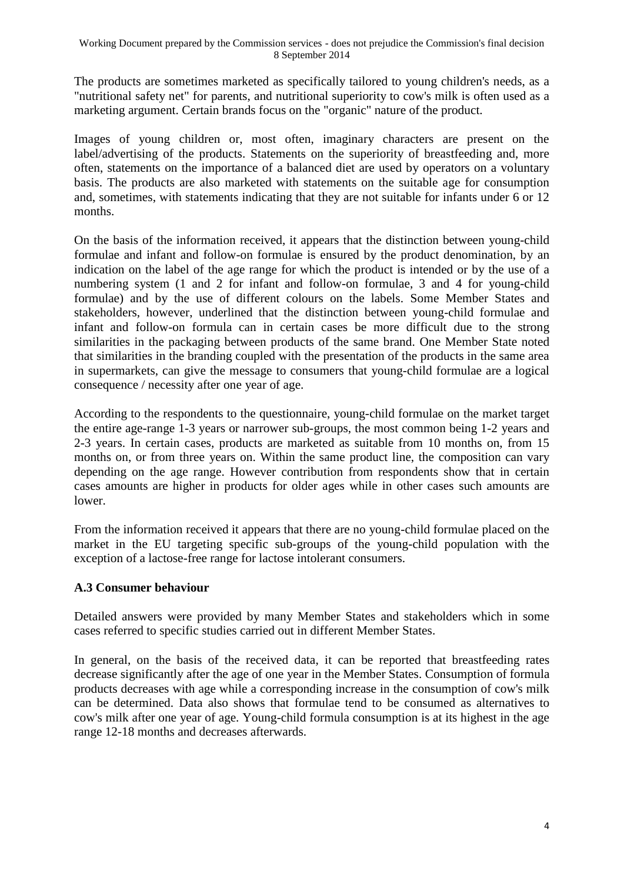The products are sometimes marketed as specifically tailored to young children's needs, as a "nutritional safety net" for parents, and nutritional superiority to cow's milk is often used as a marketing argument. Certain brands focus on the "organic" nature of the product.

Images of young children or, most often, imaginary characters are present on the label/advertising of the products. Statements on the superiority of breastfeeding and, more often, statements on the importance of a balanced diet are used by operators on a voluntary basis. The products are also marketed with statements on the suitable age for consumption and, sometimes, with statements indicating that they are not suitable for infants under 6 or 12 months.

On the basis of the information received, it appears that the distinction between young-child formulae and infant and follow-on formulae is ensured by the product denomination, by an indication on the label of the age range for which the product is intended or by the use of a numbering system (1 and 2 for infant and follow-on formulae, 3 and 4 for young-child formulae) and by the use of different colours on the labels. Some Member States and stakeholders, however, underlined that the distinction between young-child formulae and infant and follow-on formula can in certain cases be more difficult due to the strong similarities in the packaging between products of the same brand. One Member State noted that similarities in the branding coupled with the presentation of the products in the same area in supermarkets, can give the message to consumers that young-child formulae are a logical consequence / necessity after one year of age.

According to the respondents to the questionnaire, young-child formulae on the market target the entire age-range 1-3 years or narrower sub-groups, the most common being 1-2 years and 2-3 years. In certain cases, products are marketed as suitable from 10 months on, from 15 months on, or from three years on. Within the same product line, the composition can vary depending on the age range. However contribution from respondents show that in certain cases amounts are higher in products for older ages while in other cases such amounts are lower.

From the information received it appears that there are no young-child formulae placed on the market in the EU targeting specific sub-groups of the young-child population with the exception of a lactose-free range for lactose intolerant consumers.

# **A.3 Consumer behaviour**

Detailed answers were provided by many Member States and stakeholders which in some cases referred to specific studies carried out in different Member States.

In general, on the basis of the received data, it can be reported that breastfeeding rates decrease significantly after the age of one year in the Member States. Consumption of formula products decreases with age while a corresponding increase in the consumption of cow's milk can be determined. Data also shows that formulae tend to be consumed as alternatives to cow's milk after one year of age. Young-child formula consumption is at its highest in the age range 12-18 months and decreases afterwards.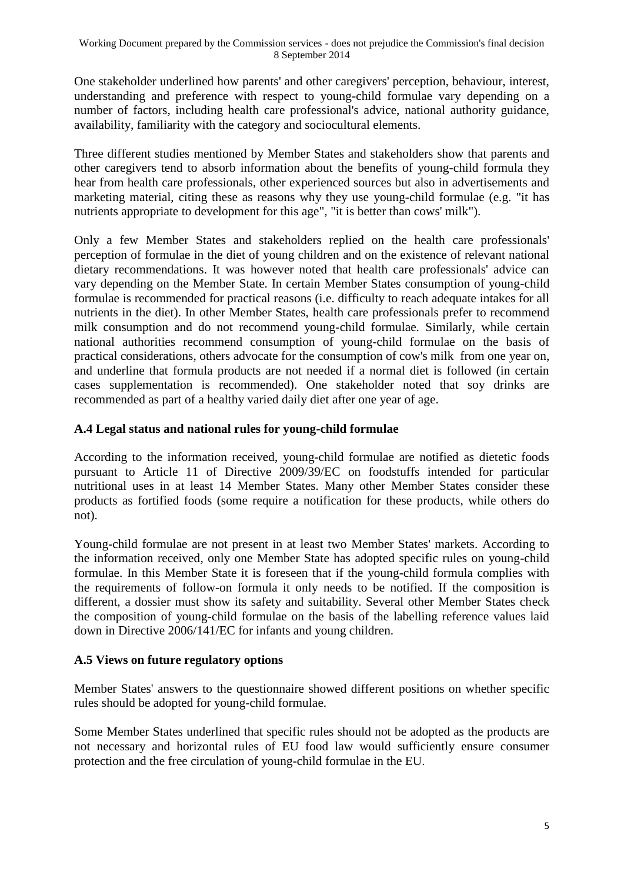One stakeholder underlined how parents' and other caregivers' perception, behaviour, interest, understanding and preference with respect to young-child formulae vary depending on a number of factors, including health care professional's advice, national authority guidance, availability, familiarity with the category and sociocultural elements.

Three different studies mentioned by Member States and stakeholders show that parents and other caregivers tend to absorb information about the benefits of young-child formula they hear from health care professionals, other experienced sources but also in advertisements and marketing material, citing these as reasons why they use young-child formulae (e.g. "it has nutrients appropriate to development for this age", "it is better than cows' milk").

Only a few Member States and stakeholders replied on the health care professionals' perception of formulae in the diet of young children and on the existence of relevant national dietary recommendations. It was however noted that health care professionals' advice can vary depending on the Member State. In certain Member States consumption of young-child formulae is recommended for practical reasons (i.e. difficulty to reach adequate intakes for all nutrients in the diet). In other Member States, health care professionals prefer to recommend milk consumption and do not recommend young-child formulae. Similarly, while certain national authorities recommend consumption of young-child formulae on the basis of practical considerations, others advocate for the consumption of cow's milk from one year on, and underline that formula products are not needed if a normal diet is followed (in certain cases supplementation is recommended). One stakeholder noted that soy drinks are recommended as part of a healthy varied daily diet after one year of age.

# **A.4 Legal status and national rules for young-child formulae**

According to the information received, young-child formulae are notified as dietetic foods pursuant to Article 11 of Directive 2009/39/EC on foodstuffs intended for particular nutritional uses in at least 14 Member States. Many other Member States consider these products as fortified foods (some require a notification for these products, while others do not).

Young-child formulae are not present in at least two Member States' markets. According to the information received, only one Member State has adopted specific rules on young-child formulae. In this Member State it is foreseen that if the young-child formula complies with the requirements of follow-on formula it only needs to be notified. If the composition is different, a dossier must show its safety and suitability. Several other Member States check the composition of young-child formulae on the basis of the labelling reference values laid down in Directive 2006/141/EC for infants and young children.

## **A.5 Views on future regulatory options**

Member States' answers to the questionnaire showed different positions on whether specific rules should be adopted for young-child formulae.

Some Member States underlined that specific rules should not be adopted as the products are not necessary and horizontal rules of EU food law would sufficiently ensure consumer protection and the free circulation of young-child formulae in the EU.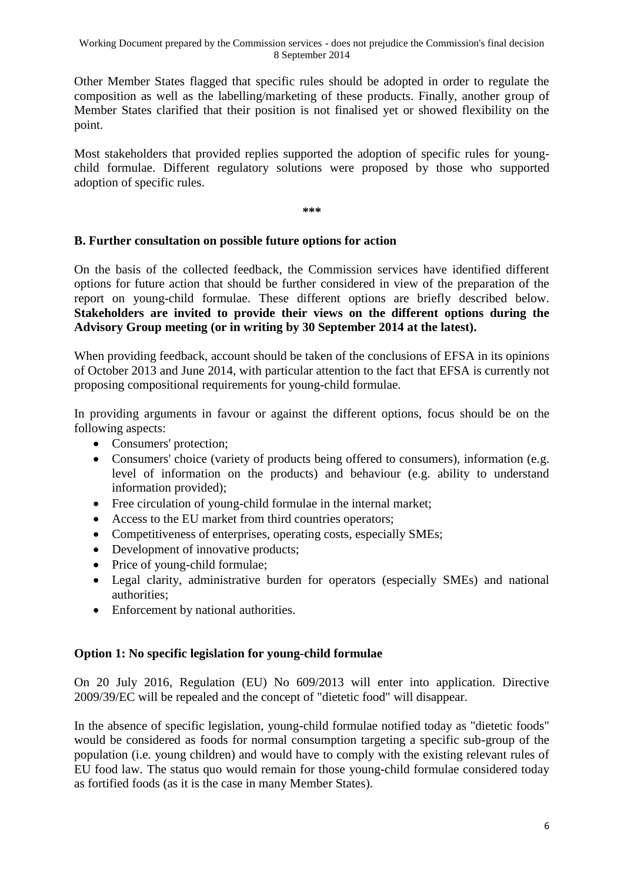Other Member States flagged that specific rules should be adopted in order to regulate the composition as well as the labelling/marketing of these products. Finally, another group of Member States clarified that their position is not finalised yet or showed flexibility on the point.

Most stakeholders that provided replies supported the adoption of specific rules for youngchild formulae. Different regulatory solutions were proposed by those who supported adoption of specific rules.

**\*\*\***

## **B. Further consultation on possible future options for action**

On the basis of the collected feedback, the Commission services have identified different options for future action that should be further considered in view of the preparation of the report on young-child formulae. These different options are briefly described below. **Stakeholders are invited to provide their views on the different options during the Advisory Group meeting (or in writing by 30 September 2014 at the latest).**

When providing feedback, account should be taken of the conclusions of EFSA in its opinions of October 2013 and June 2014, with particular attention to the fact that EFSA is currently not proposing compositional requirements for young-child formulae.

In providing arguments in favour or against the different options, focus should be on the following aspects:

- Consumers' protection:
- Consumers' choice (variety of products being offered to consumers), information (e.g. level of information on the products) and behaviour (e.g. ability to understand information provided);
- Free circulation of young-child formulae in the internal market;
- Access to the EU market from third countries operators;
- Competitiveness of enterprises, operating costs, especially SMEs:
- Development of innovative products;
- Price of young-child formulae;
- Legal clarity, administrative burden for operators (especially SMEs) and national authorities;
- Enforcement by national authorities.

## **Option 1: No specific legislation for young-child formulae**

On 20 July 2016, Regulation (EU) No 609/2013 will enter into application. Directive 2009/39/EC will be repealed and the concept of "dietetic food" will disappear.

In the absence of specific legislation, young-child formulae notified today as "dietetic foods" would be considered as foods for normal consumption targeting a specific sub-group of the population (i.e. young children) and would have to comply with the existing relevant rules of EU food law. The status quo would remain for those young-child formulae considered today as fortified foods (as it is the case in many Member States).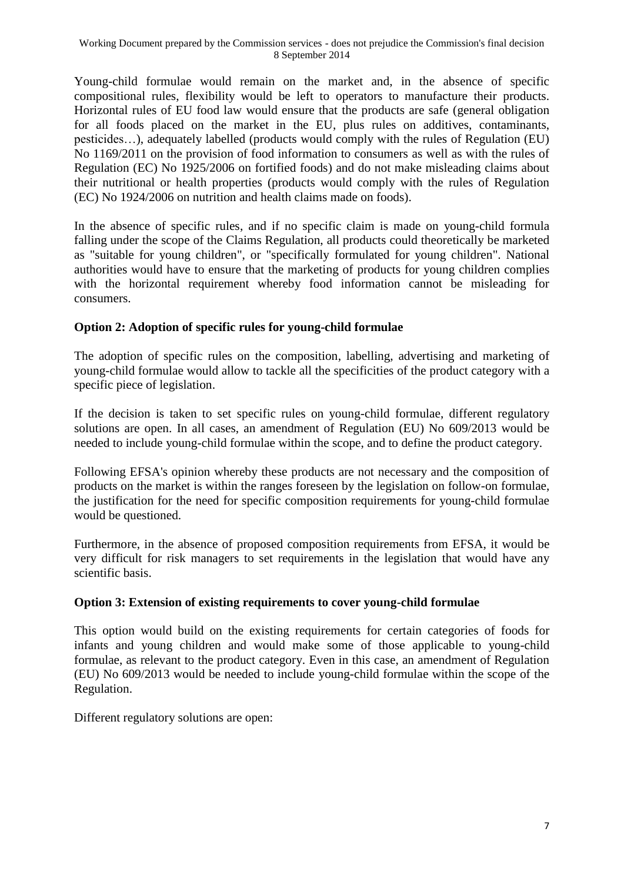Young-child formulae would remain on the market and, in the absence of specific compositional rules, flexibility would be left to operators to manufacture their products. Horizontal rules of EU food law would ensure that the products are safe (general obligation for all foods placed on the market in the EU, plus rules on additives, contaminants, pesticides…), adequately labelled (products would comply with the rules of Regulation (EU) No 1169/2011 on the provision of food information to consumers as well as with the rules of Regulation (EC) No 1925/2006 on fortified foods) and do not make misleading claims about their nutritional or health properties (products would comply with the rules of Regulation (EC) No 1924/2006 on nutrition and health claims made on foods).

In the absence of specific rules, and if no specific claim is made on young-child formula falling under the scope of the Claims Regulation, all products could theoretically be marketed as "suitable for young children", or "specifically formulated for young children". National authorities would have to ensure that the marketing of products for young children complies with the horizontal requirement whereby food information cannot be misleading for consumers.

# **Option 2: Adoption of specific rules for young-child formulae**

The adoption of specific rules on the composition, labelling, advertising and marketing of young-child formulae would allow to tackle all the specificities of the product category with a specific piece of legislation.

If the decision is taken to set specific rules on young-child formulae, different regulatory solutions are open. In all cases, an amendment of Regulation (EU) No 609/2013 would be needed to include young-child formulae within the scope, and to define the product category.

Following EFSA's opinion whereby these products are not necessary and the composition of products on the market is within the ranges foreseen by the legislation on follow-on formulae, the justification for the need for specific composition requirements for young-child formulae would be questioned.

Furthermore, in the absence of proposed composition requirements from EFSA, it would be very difficult for risk managers to set requirements in the legislation that would have any scientific basis.

## **Option 3: Extension of existing requirements to cover young-child formulae**

This option would build on the existing requirements for certain categories of foods for infants and young children and would make some of those applicable to young-child formulae, as relevant to the product category. Even in this case, an amendment of Regulation (EU) No 609/2013 would be needed to include young-child formulae within the scope of the Regulation.

Different regulatory solutions are open: